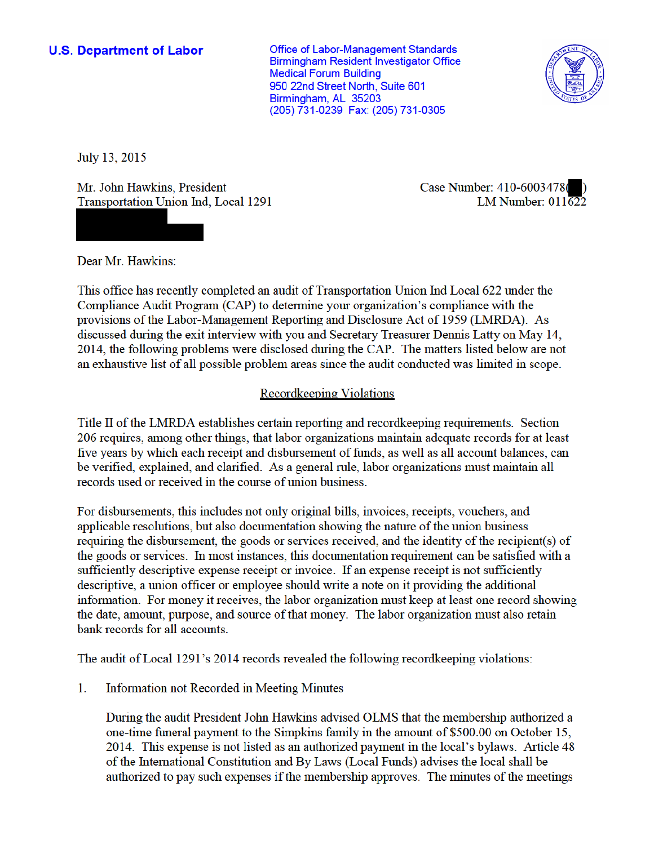**Office of Labor-Management Standards Birmingham Resident Investigator Office Medical Forum Building** 950 22nd Street North, Suite 601 Birmingham, AL 35203 (205) 731-0239 Fax: (205) 731-0305



July 13, 2015

Mr. John Hawkins, President Transportation Union Ind, Local 1291



Case Number: 410-6003478 LM Number:  $011\overline{62}2$ 

Dear Mr. Hawkins:

This office has recently completed an audit of Transportation Union Ind Local 622 under the Compliance Audit Program (CAP) to determine your organization's compliance with the provisions of the Labor-Management Reporting and Disclosure Act of 1959 (LMRDA). As discussed during the exit interview with you and Secretary Treasurer Dennis Latty on May 14, 2014, the following problems were disclosed during the CAP. The matters listed below are not an exhaustive list of all possible problem areas since the audit conducted was limited in scope.

## **Recordkeeping Violations**

Title II of the LMRDA establishes certain reporting and record keeping requirements. Section 206 requires, among other things, that labor organizations maintain adequate records for at least five years by which each receipt and disbursement of funds, as well as all account balances, can be verified, explained, and clarified. As a general rule, labor organizations must maintain all records used or received in the course of union business.

For disbursements, this includes not only original bills, invoices, receipts, vouchers, and applicable resolutions, but also documentation showing the nature of the union business requiring the disbursement, the goods or services received, and the identity of the recipient(s) of the goods or services. In most instances, this documentation requirement can be satisfied with a sufficiently descriptive expense receipt or invoice. If an expense receipt is not sufficiently descriptive, a union officer or employee should write a note on it providing the additional information. For money it receives, the labor organization must keep at least one record showing the date, amount, purpose, and source of that money. The labor organization must also retain bank records for all accounts.

The audit of Local 1291's 2014 records revealed the following record keeping violations:

 $1.$ **Information not Recorded in Meeting Minutes** 

> During the audit President John Hawkins advised OLMS that the membership authorized a one-time funeral payment to the Simplands family in the amount of \$500.00 on October 15, 2014. This expense is not listed as an authorized payment in the local's bylaws. Article 48 of the International Constitution and By Laws (Local Funds) advises the local shall be authorized to pay such expenses if the membership approves. The minutes of the meetings